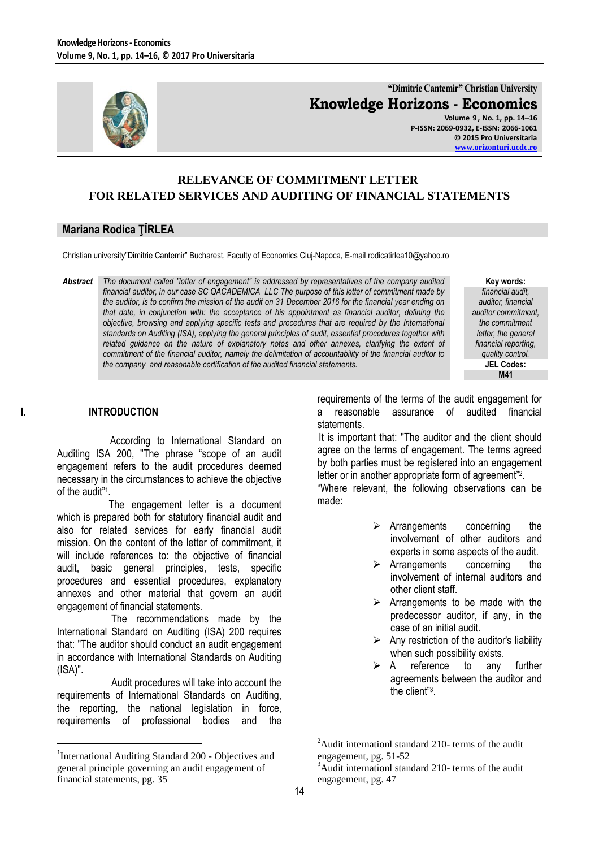

**"Dimitrie Cantemir" Christian University Knowledge Horizons - Economics**

**Volume 9 , No. 1, pp. 14–16 P-ISSN: 2069-0932, E-ISSN: 2066-1061 © 2015 Pro Universitaria [www.orizonturi.ucdc.ro](http://www.orizonturi.ucdc.ro/)**

# **RELEVANCE OF COMMITMENT LETTER FOR RELATED SERVICES AND AUDITING OF FINANCIAL STATEMENTS**

### **Mariana Rodica ŢÎRLEA**

Christian university"Dimitrie Cantemir" Bucharest, Faculty of Economics Cluj-Napoca, E-mail rodicatirlea10@yahoo.ro

*Abstract The document called "letter of engagement" is addressed by representatives of the company audited financial auditor, in our case SC QACADEMICA LLC The purpose of this letter of commitment made by the auditor, is to confirm the mission of the audit on 31 December 2016 for the financial year ending on that date, in conjunction with: the acceptance of his appointment as financial auditor, defining the objective, browsing and applying specific tests and procedures that are required by the International standards on Auditing (ISA), applying the general principles of audit, essential procedures together with related guidance on the nature of explanatory notes and other annexes, clarifying the extent of commitment of the financial auditor, namely the delimitation of accountability of the financial auditor to the company and reasonable certification of the audited financial statements.*

**Key words:** *financial audit, auditor, financial auditor commitment, the commitment letter, the general financial reporting, quality control.* **JEL Codes: M41**

#### **I. INTRODUCTION**

 $\overline{a}$ 

 According to International Standard on Auditing ISA 200, "The phrase "scope of an audit engagement refers to the audit procedures deemed necessary in the circumstances to achieve the objective of the audit" 1 .

 The engagement letter is a document which is prepared both for statutory financial audit and also for related services for early financial audit mission. On the content of the letter of commitment, it will include references to: the objective of financial audit, basic general principles, tests, specific procedures and essential procedures, explanatory annexes and other material that govern an audit engagement of financial statements.

 The recommendations made by the International Standard on Auditing (ISA) 200 requires that: "The auditor should conduct an audit engagement in accordance with International Standards on Auditing (ISA)".

 Audit procedures will take into account the requirements of International Standards on Auditing, the reporting, the national legislation in force, requirements of professional bodies and the

requirements of the terms of the audit engagement for a reasonable assurance of audited financial statements.

 It is important that: "The auditor and the client should agree on the terms of engagement. The terms agreed by both parties must be registered into an engagement letter or in another appropriate form of agreement"<sup>2</sup>.

"Where relevant, the following observations can be made:

- $\triangleright$  Arrangements concerning the involvement of other auditors and experts in some aspects of the audit.
- $\triangleright$  Arrangements concerning the involvement of internal auditors and other client staff.
- $\triangleright$  Arrangements to be made with the predecessor auditor, if any, in the case of an initial audit.
- $\triangleright$  Any restriction of the auditor's liability when such possibility exists.
- $\triangleright$  A reference to any further agreements between the auditor and the client"<sup>3</sup> .

 $\overline{a}$ 

<sup>&</sup>lt;sup>1</sup>International Auditing Standard 200 - Objectives and general principle governing an audit engagement of financial statements, pg. 35

 $^{2}$ Audit internationl standard 210- terms of the audit engagement, pg. 51-52

<sup>&</sup>lt;sup>3</sup>Audit internationl standard 210- terms of the audit engagement, pg. 47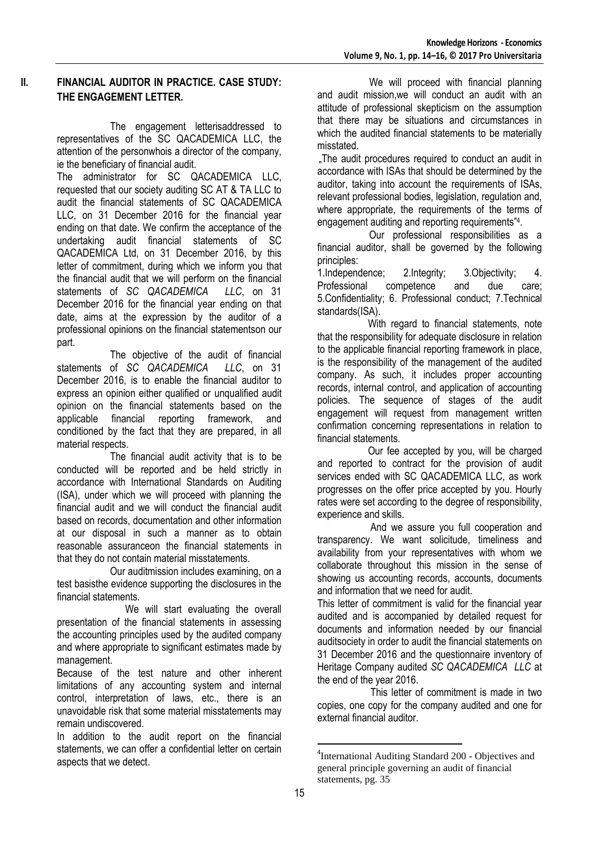### **II. FINANCIAL AUDITOR IN PRACTICE. CASE STUDY: THE ENGAGEMENT LETTER.**

 The engagement letterisaddressed to representatives of the SC QACADEMICA LLC, the attention of the personwhois a director of the company, ie the beneficiary of financial audit.

The administrator for SC QACADEMICA LLC, requested that our society auditing SC AT & TA LLC to audit the financial statements of SC QACADEMICA LLC, on 31 December 2016 for the financial year ending on that date. We confirm the acceptance of the undertaking audit financial statements of SC QACADEMICA Ltd, on 31 December 2016, by this letter of commitment, during which we inform you that the financial audit that we will perform on the financial statements of *SC QACADEMICA LLC*, on 31 December 2016 for the financial year ending on that date, aims at the expression by the auditor of a professional opinions on the financial statementson our part.

 The objective of the audit of financial statements of *SC QACADEMICA LLC*, on 31 December 2016, is to enable the financial auditor to express an opinion either qualified or unqualified audit opinion on the financial statements based on the applicable financial reporting framework, and conditioned by the fact that they are prepared, in all material respects.

 The financial audit activity that is to be conducted will be reported and be held strictly in accordance with International Standards on Auditing (ISA), under which we will proceed with planning the financial audit and we will conduct the financial audit based on records, documentation and other information at our disposal in such a manner as to obtain reasonable assuranceon the financial statements in that they do not contain material misstatements.

 Our auditmission includes examining, on a test basisthe evidence supporting the disclosures in the financial statements.

We will start evaluating the overall presentation of the financial statements in assessing the accounting principles used by the audited company and where appropriate to significant estimates made by management.

Because of the test nature and other inherent limitations of any accounting system and internal control, interpretation of laws, etc., there is an unavoidable risk that some material misstatements may remain undiscovered.

In addition to the audit report on the financial statements, we can offer a confidential letter on certain aspects that we detect.

 We will proceed with financial planning and audit mission,we will conduct an audit with an attitude of professional skepticism on the assumption that there may be situations and circumstances in which the audited financial statements to be materially misstated.

.The audit procedures required to conduct an audit in accordance with ISAs that should be determined by the auditor, taking into account the requirements of ISAs, relevant professional bodies, legislation, regulation and, where appropriate, the requirements of the terms of engagement auditing and reporting requirements"<sup>4</sup>.

 Our professional responsibilities as a financial auditor, shall be governed by the following principles:

1.Independence; 2.Integrity; 3.Objectivity; 4. Professional competence and due care; 5.Confidentiality; 6. Professional conduct; 7.Technical standards(ISA).

 With regard to financial statements, note that the responsibility for adequate disclosure in relation to the applicable financial reporting framework in place, is the responsibility of the management of the audited company. As such, it includes proper accounting records, internal control, and application of accounting policies. The sequence of stages of the audit engagement will request from management written confirmation concerning representations in relation to financial statements.

 Our fee accepted by you, will be charged and reported to contract for the provision of audit services ended with SC QACADEMICA LLC, as work progresses on the offer price accepted by you. Hourly rates were set according to the degree of responsibility, experience and skills.

 And we assure you full cooperation and transparency. We want solicitude, timeliness and availability from your representatives with whom we collaborate throughout this mission in the sense of showing us accounting records, accounts, documents and information that we need for audit.

This letter of commitment is valid for the financial year audited and is accompanied by detailed request for documents and information needed by our financial auditsociety in order to audit the financial statements on 31 December 2016 and the questionnaire inventory of Heritage Company audited *SC QACADEMICA LLC* at the end of the year 2016.

 This letter of commitment is made in two copies, one copy for the company audited and one for external financial auditor.

 $\overline{a}$ 

<sup>&</sup>lt;sup>4</sup>International Auditing Standard 200 - Objectives and general principle governing an audit of financial statements, pg. 35